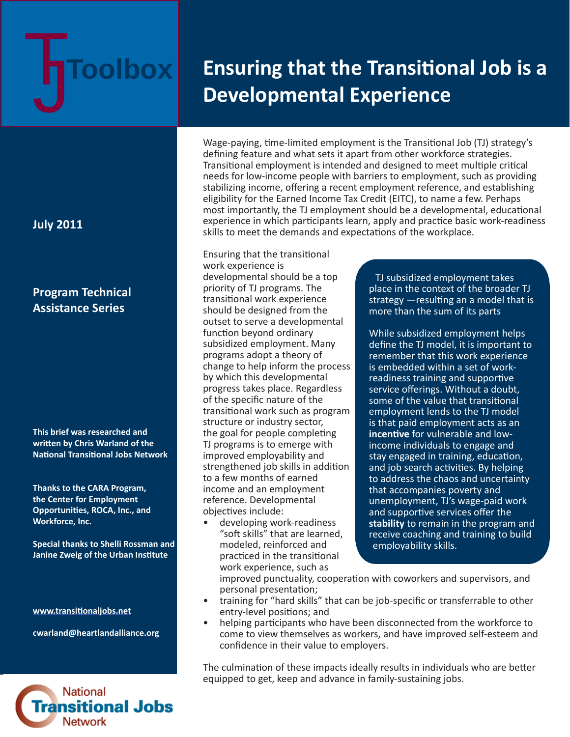# **Toolbox**

# **Ensuring that the Transitional Job is a Developmental Experience**

Wage-paying, time-limited employment is the Transitional Job (TJ) strategy's defining feature and what sets it apart from other workforce strategies. Transitional employment is intended and designed to meet multiple critical needs for low-income people with barriers to employment, such as providing stabilizing income, offering a recent employment reference, and establishing eligibility for the Earned Income Tax Credit (EITC), to name a few. Perhaps most importantly, the TJ employment should be a developmental, educational experience in which participants learn, apply and practice basic work-readiness skills to meet the demands and expectations of the workplace.

Ensuring that the transitional work experience is developmental should be a top priority of TJ programs. The transitional work experience should be designed from the outset to serve a developmental function beyond ordinary subsidized employment. Many programs adopt a theory of change to help inform the process by which this developmental progress takes place. Regardless of the specific nature of the transitional work such as program structure or industry sector, the goal for people completing TJ programs is to emerge with improved employability and strengthened job skills in addition to a few months of earned income and an employment reference. Developmental objectives include:

• developing work-readiness "soft skills" that are learned, modeled, reinforced and practiced in the transitional work experience, such as

TJ subsidized employment takes place in the context of the broader TJ strategy  $-$  resulting an a model that is more than the sum of its parts

While subsidized employment helps define the TJ model, it is important to remember that this work experience is embedded within a set of workreadiness training and supportive service offerings. Without a doubt, some of the value that transitional employment lends to the TJ model is that paid employment acts as an **incentive** for vulnerable and lowincome individuals to engage and stay engaged in training, education, and job search activities. By helping to address the chaos and uncertainty that accompanies poverty and unemployment, TJ's wage-paid work and supportive services offer the **stability** to remain in the program and receive coaching and training to build employability skills.

improved punctuality, cooperation with coworkers and supervisors, and personal presentation;

- training for "hard skills" that can be job-specific or transferrable to other entry-level positions; and
- helping participants who have been disconnected from the workforce to come to view themselves as workers, and have improved self-esteem and confidence in their value to employers.

The culmination of these impacts ideally results in individuals who are better equipped to get, keep and advance in family-sustaining jobs.

# **July 2011**

# **Program Technical Assistance Series**

**This brief was researched and writt en by Chris Warland of the Nati onal Transiti onal Jobs Network** 

**Thanks to the CARA Program, the Center for Employment Opportuniti es, ROCA, Inc., and Workforce, Inc.** 

**Special thanks to Shelli Rossman and Janine Zweig of the Urban Institute** 

**www.transiti [onaljobs.net](http://www.transitionaljobs.net)**

**cwarland@heartlandalliance.org**

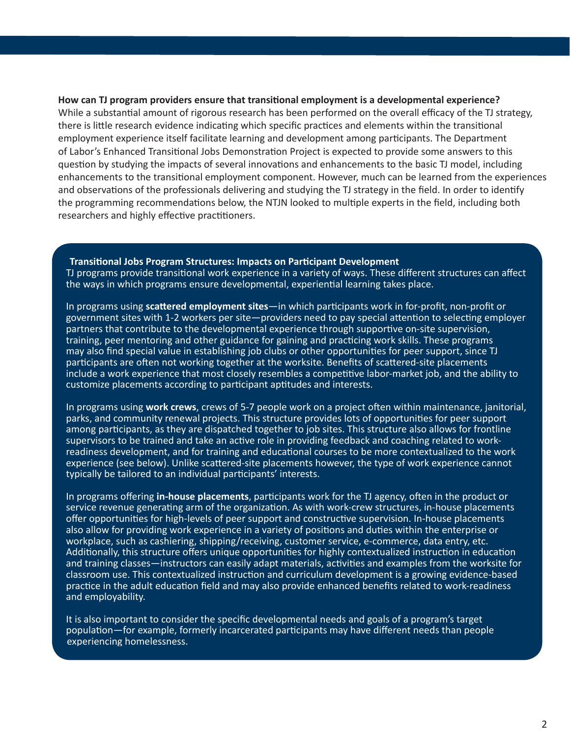## **How can TJ program providers ensure that transiti onal employment is a developmental experience?**

While a substantial amount of rigorous research has been performed on the overall efficacy of the TJ strategy, there is little research evidence indicating which specific practices and elements within the transitional employment experience itself facilitate learning and development among participants. The Department of Labor's Enhanced Transitional Jobs Demonstration Project is expected to provide some answers to this question by studying the impacts of several innovations and enhancements to the basic TJ model, including enhancements to the transitional employment component. However, much can be learned from the experiences and observations of the professionals delivering and studying the TJ strategy in the field. In order to identify the programming recommendations below, the NTJN looked to multiple experts in the field, including both researchers and highly effective practitioners.

#### **Transiti onal Jobs Program Structures: Impacts on Parti cipant Development**

TJ programs provide transitional work experience in a variety of ways. These different structures can affect the ways in which programs ensure developmental, experiential learning takes place.

In programs using **scattered employment sites**—in which participants work in for-profit, non-profit or government sites with 1-2 workers per site-providers need to pay special attention to selecting employer partners that contribute to the developmental experience through supportive on-site supervision, training, peer mentoring and other guidance for gaining and practicing work skills. These programs may also find special value in establishing job clubs or other opportunities for peer support, since TJ participants are often not working together at the worksite. Benefits of scattered-site placements include a work experience that most closely resembles a competitive labor-market job, and the ability to customize placements according to participant aptitudes and interests.

In programs using **work crews**, crews of 5-7 people work on a project often within maintenance, janitorial, parks, and community renewal projects. This structure provides lots of opportunities for peer support among participants, as they are dispatched together to job sites. This structure also allows for frontline supervisors to be trained and take an active role in providing feedback and coaching related to workreadiness development, and for training and educational courses to be more contextualized to the work experience (see below). Unlike scattered-site placements however, the type of work experience cannot typically be tailored to an individual participants' interests.

In programs offering **in-house placements**, participants work for the TJ agency, often in the product or service revenue generating arm of the organization. As with work-crew structures, in-house placements offer opportunities for high-levels of peer support and constructive supervision. In-house placements also allow for providing work experience in a variety of positions and duties within the enterprise or workplace, such as cashiering, shipping/receiving, customer service, e-commerce, data entry, etc. Additionally, this structure offers unique opportunities for highly contextualized instruction in education and training classes—instructors can easily adapt materials, activities and examples from the worksite for classroom use. This contextualized instruction and curriculum development is a growing evidence-based practice in the adult education field and may also provide enhanced benefits related to work-readiness and employability.

It is also important to consider the specific developmental needs and goals of a program's target population—for example, formerly incarcerated participants may have different needs than people experiencing homelessness.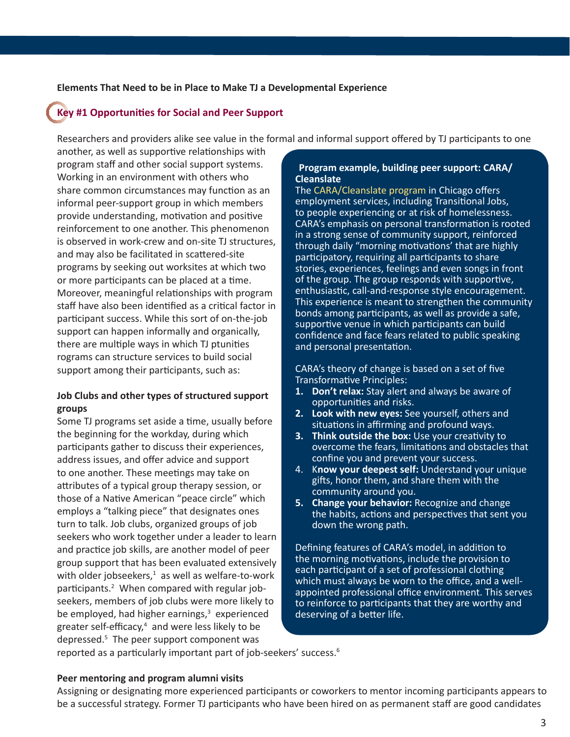# **Elements That Need to be in Place to Make TJ a Developmental Experience**

# **Key #1 Opportuniti es for Social and Peer Support**

Researchers and providers alike see value in the formal and informal support offered by TJ participants to one

another, as well as supportive relationships with program staff and other social support systems. Working in an environment with others who share common circumstances may function as an informal peer-support group in which members provide understanding, motivation and positive reinforcement to one another. This phenomenon is observed in work-crew and on-site TJ structures, and may also be facilitated in scattered-site programs by seeking out worksites at which two or more participants can be placed at a time. Moreover, meaningful relationships with program staff have also been identified as a critical factor in participant success. While this sort of on-the-job support can happen informally and organically, there are multiple ways in which TJ ptunities rograms can structure services to build social support among their participants, such as:

# **Job Clubs and other types of structured support groups**

Some TJ programs set aside a time, usually before the beginning for the workday, during which participants gather to discuss their experiences, address issues, and offer advice and support to one another. These meetings may take on attributes of a typical group therapy session, or those of a Native American "peace circle" which employs a "talking piece" that designates ones turn to talk. Job clubs, organized groups of job seekers who work together under a leader to learn and practice job skills, are another model of peer group support that has been evaluated extensively with older jobseekers, $<sup>1</sup>$  as well as welfare-to-work</sup> participants.<sup>2</sup> When compared with regular jobseekers, members of job clubs were more likely to be employed, had higher earnings,<sup>3</sup> experienced greater self-efficacy,<sup>4</sup> and were less likely to be depressed.5 The peer support component was

# **Program example, building peer support: CARA/ Cleanslate**

The [CARA/Cleanslate program](http://www.thecaraprogram.org/) in Chicago offers employment services, including Transitional Jobs, to people experiencing or at risk of homelessness. CARA's emphasis on personal transformation is rooted in a strong sense of community support, reinforced through daily "morning motivations' that are highly participatory, requiring all participants to share stories, experiences, feelings and even songs in front of the group. The group responds with supportive, enthusiastic, call-and-response style encouragement. This experience is meant to strengthen the community bonds among participants, as well as provide a safe, supportive venue in which participants can build confidence and face fears related to public speaking and personal presentation.

CARA's theory of change is based on a set of five Transformative Principles:

- **1. Don't relax:** Stay alert and always be aware of opportunities and risks.
- **2. Look with new eyes:** See yourself, others and situations in affirming and profound ways.
- **3. Think outside the box:** Use your creativity to overcome the fears, limitations and obstacles that confine you and prevent your success.
- 4. K**now your deepest self:** Understand your unique gifts, honor them, and share them with the community around you.
- **5. Change your behavior:** Recognize and change the habits, actions and perspectives that sent you down the wrong path.

Defining features of CARA's model, in addition to the morning motivations, include the provision to each participant of a set of professional clothing which must always be worn to the office, and a wellappointed professional office environment. This serves to reinforce to participants that they are worthy and deserving of a better life.

reported as a particularly important part of job-seekers' success.<sup>6</sup>

# **Peer mentoring and program alumni visits**

Assigning or designating more experienced participants or coworkers to mentor incoming participants appears to be a successful strategy. Former TJ participants who have been hired on as permanent staff are good candidates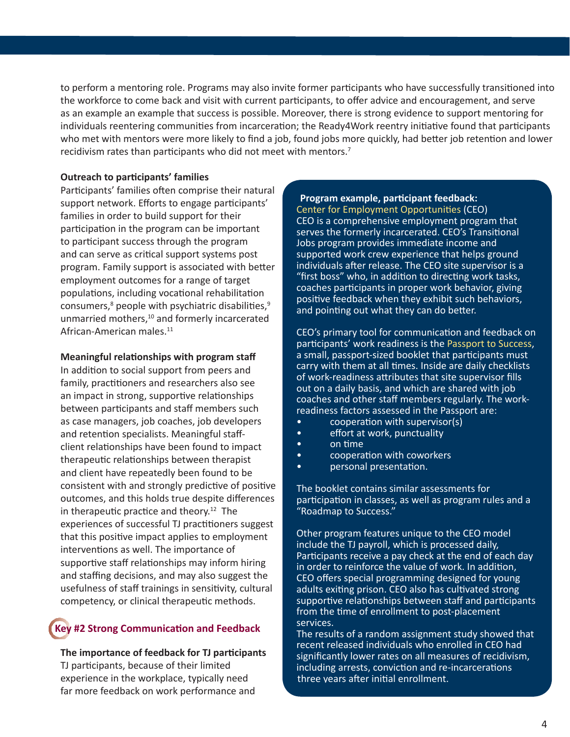to perform a mentoring role. Programs may also invite former participants who have successfully transitioned into the workforce to come back and visit with current participants, to offer advice and encouragement, and serve as an example an example that success is possible. Moreover, there is strong evidence to support mentoring for individuals reentering communities from incarceration; the Ready4Work reentry initiative found that participants who met with mentors were more likely to find a job, found jobs more quickly, had better job retention and lower recidivism rates than participants who did not meet with mentors.<sup>7</sup>

## **Outreach to parti cipants' families**

Participants' families often comprise their natural support network. Efforts to engage participants' families in order to build support for their participation in the program can be important to participant success through the program and can serve as critical support systems post program. Family support is associated with better employment outcomes for a range of target populations, including vocational rehabilitation consumers,<sup>8</sup> people with psychiatric disabilities,<sup>9</sup> unmarried mothers,<sup>10</sup> and formerly incarcerated African-American males.<sup>11</sup>

#### **Meaningful relati onships with program staff**

In addition to social support from peers and family, practitioners and researchers also see an impact in strong, supportive relationships between participants and staff members such as case managers, job coaches, job developers and retention specialists. Meaningful staffclient relationships have been found to impact therapeutic relationships between therapist and client have repeatedly been found to be consistent with and strongly predictive of positive outcomes, and this holds true despite differences in therapeutic practice and theory.<sup>12</sup> The experiences of successful TJ practitioners suggest that this positive impact applies to employment interventions as well. The importance of supportive staff relationships may inform hiring and staffing decisions, and may also suggest the usefulness of staff trainings in sensitivity, cultural competency, or clinical therapeutic methods.

# **Key #2 Strong Communicati on and Feedback**

#### **The importance of feedback for TJ parti cipants**

TJ participants, because of their limited experience in the workplace, typically need far more feedback on work performance and

#### **Program example, parti cipant feedback:**

[Center for Employment Opportuni](http://ceoworks.org/)ties (CEO) CEO is a comprehensive employment program that serves the formerly incarcerated. CEO's Transitional Jobs program provides immediate income and supported work crew experience that helps ground individuals after release. The CEO site supervisor is a "first boss" who, in addition to directing work tasks, coaches participants in proper work behavior, giving positive feedback when they exhibit such behaviors, and pointing out what they can do better.

CEO's primary tool for communication and feedback on participants' work readiness is the [Passport to Success,](http://ceoworks.org/wp-content/uploads/PTSexample.pdf) a small, passport-sized booklet that participants must carry with them at all times. Inside are daily checklists of work-readiness attributes that site supervisor fills out on a daily basis, and which are shared with job coaches and other staff members regularly. The workreadiness factors assessed in the Passport are:

- cooperation with supervisor(s)
- effort at work, punctuality
- on time
- cooperation with coworkers
- personal presentation.

The booklet contains similar assessments for participation in classes, as well as program rules and a "Roadmap to Success."

Other program features unique to the CEO model include the TJ payroll, which is processed daily, Participants receive a pay check at the end of each day in order to reinforce the value of work. In addition, CEO offers special programming designed for young adults exiting prison. CEO also has cultivated strong supportive relationships between staff and participants from the time of enrollment to post-placement services.

The results of a random assignment study showed that recent released individuals who enrolled in CEO had significantly lower rates on all measures of recidivism, including arrests, conviction and re-incarcerations three years after initial enrollment.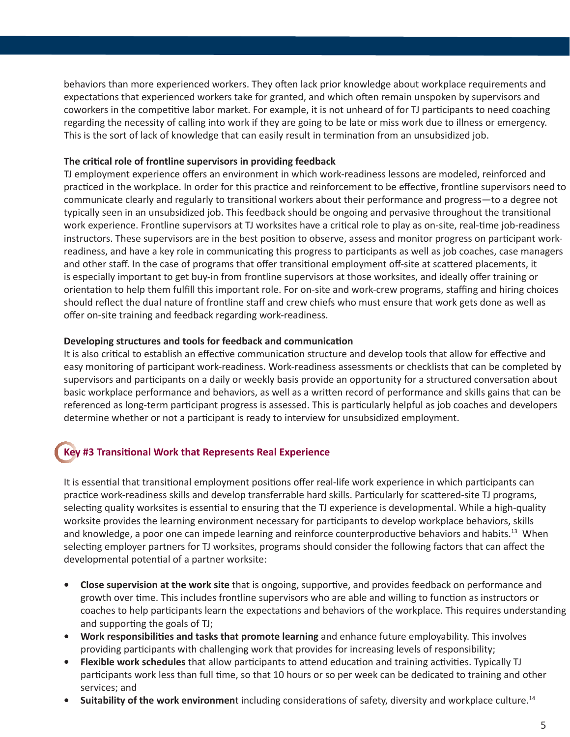behaviors than more experienced workers. They often lack prior knowledge about workplace requirements and expectations that experienced workers take for granted, and which often remain unspoken by supervisors and coworkers in the competitive labor market. For example, it is not unheard of for TJ participants to need coaching regarding the necessity of calling into work if they are going to be late or miss work due to illness or emergency. This is the sort of lack of knowledge that can easily result in termination from an unsubsidized job.

# **The criti cal role of frontline supervisors in providing feedback**

TJ employment experience offers an environment in which work-readiness lessons are modeled, reinforced and practiced in the workplace. In order for this practice and reinforcement to be effective, frontline supervisors need to communicate clearly and regularly to transitional workers about their performance and progress—to a degree not typically seen in an unsubsidized job. This feedback should be ongoing and pervasive throughout the transitional work experience. Frontline supervisors at TJ worksites have a critical role to play as on-site, real-time job-readiness instructors. These supervisors are in the best position to observe, assess and monitor progress on participant workreadiness, and have a key role in communicating this progress to participants as well as job coaches, case managers and other staff. In the case of programs that offer transitional employment off-site at scattered placements, it is especially important to get buy-in from frontline supervisors at those worksites, and ideally offer training or orientation to help them fulfill this important role. For on-site and work-crew programs, staffing and hiring choices should reflect the dual nature of frontline staff and crew chiefs who must ensure that work gets done as well as offer on-site training and feedback regarding work-readiness.

# **Developing structures and tools for feedback and communicati on**

It is also critical to establish an effective communication structure and develop tools that allow for effective and easy monitoring of participant work-readiness. Work-readiness assessments or checklists that can be completed by supervisors and participants on a daily or weekly basis provide an opportunity for a structured conversation about basic workplace performance and behaviors, as well as a written record of performance and skills gains that can be referenced as long-term participant progress is assessed. This is particularly helpful as job coaches and developers determine whether or not a participant is ready to interview for unsubsidized employment.

# **Key #3 Transiti onal Work that Represents Real Experience**

It is essential that transitional employment positions offer real-life work experience in which participants can practice work-readiness skills and develop transferrable hard skills. Particularly for scattered-site TJ programs, selecting quality worksites is essential to ensuring that the TJ experience is developmental. While a high-quality worksite provides the learning environment necessary for participants to develop workplace behaviors, skills and knowledge, a poor one can impede learning and reinforce counterproductive behaviors and habits.<sup>13</sup> When selecting employer partners for TJ worksites, programs should consider the following factors that can affect the developmental potential of a partner worksite:

- **Close supervision at the work site** that is ongoing, supportive, and provides feedback on performance and growth over time. This includes frontline supervisors who are able and willing to function as instructors or coaches to help participants learn the expectations and behaviors of the workplace. This requires understanding and supporting the goals of TJ;
- **Work responsibiliti es and tasks that promote learning** and enhance future employability. This involves providing participants with challenging work that provides for increasing levels of responsibility;
- Flexible work schedules that allow participants to attend education and training activities. Typically TJ participants work less than full time, so that 10 hours or so per week can be dedicated to training and other services; and
- **Suitability of the work environment** including considerations of safety, diversity and workplace culture.<sup>14</sup>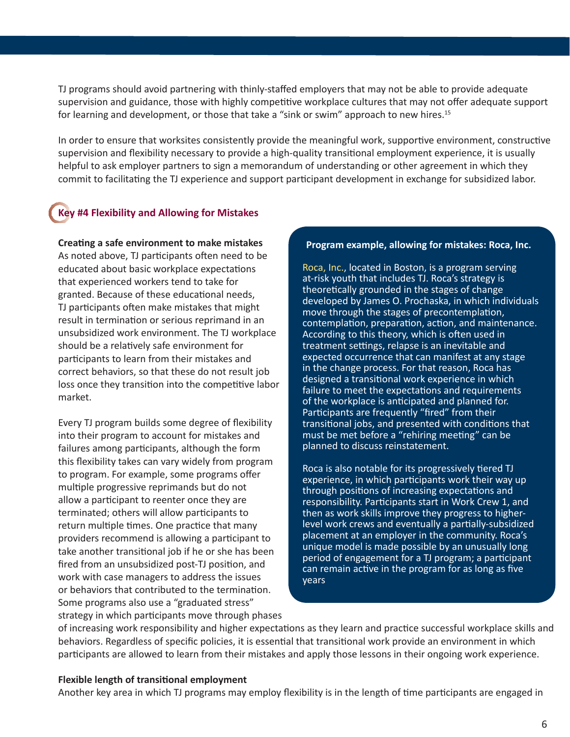TJ programs should avoid partnering with thinly-staffed employers that may not be able to provide adequate supervision and guidance, those with highly competitive workplace cultures that may not offer adequate support for learning and development, or those that take a "sink or swim" approach to new hires.<sup>15</sup>

In order to ensure that worksites consistently provide the meaningful work, supportive environment, constructive supervision and flexibility necessary to provide a high-quality transitional employment experience, it is usually helpful to ask employer partners to sign a memorandum of understanding or other agreement in which they commit to facilitating the TJ experience and support participant development in exchange for subsidized labor.

# **Key #4 Flexibility and Allowing for Mistakes**

**Creati ng a safe environment to make mistakes** As noted above, TJ participants often need to be educated about basic workplace expectations that experienced workers tend to take for granted. Because of these educational needs, TJ participants often make mistakes that might result in termination or serious reprimand in an unsubsidized work environment. The TJ workplace should be a relatively safe environment for participants to learn from their mistakes and correct behaviors, so that these do not result job loss once they transition into the competitive labor market.

Every TJ program builds some degree of flexibility into their program to account for mistakes and failures among participants, although the form this flexibility takes can vary widely from program to program. For example, some programs offer multiple progressive reprimands but do not allow a participant to reenter once they are terminated; others will allow participants to return multiple times. One practice that many providers recommend is allowing a participant to take another transitional job if he or she has been fired from an unsubsidized post-TJ position, and work with case managers to address the issues or behaviors that contributed to the termination. Some programs also use a "graduated stress" strategy in which participants move through phases

#### **Program example, allowing for mistakes: Roca, Inc.**

[Roca, Inc.,](http://www.rocainc.org/) located in Boston, is a program serving at-risk youth that includes TJ. Roca's strategy is theoretically grounded in the stages of change developed by James O. Prochaska, in which individuals move through the stages of precontemplation, contemplation, preparation, action, and maintenance. According to this theory, which is often used in treatment settings, relapse is an inevitable and expected occurrence that can manifest at any stage in the change process. For that reason, Roca has designed a transitional work experience in which failure to meet the expectations and requirements of the workplace is anticipated and planned for. Participants are frequently "fired" from their transitional jobs, and presented with conditions that must be met before a "rehiring meeting" can be planned to discuss reinstatement.

Roca is also notable for its progressively tiered TJ experience, in which participants work their way up through positions of increasing expectations and responsibility. Participants start in Work Crew 1, and then as work skills improve they progress to higherlevel work crews and eventually a partially-subsidized placement at an employer in the community. Roca's unique model is made possible by an unusually long period of engagement for a TJ program; a participant can remain active in the program for as long as five years

of increasing work responsibility and higher expectations as they learn and practice successful workplace skills and behaviors. Regardless of specific policies, it is essential that transitional work provide an environment in which participants are allowed to learn from their mistakes and apply those lessons in their ongoing work experience.

# **Flexible length of transitional employment**

Another key area in which TJ programs may employ flexibility is in the length of time participants are engaged in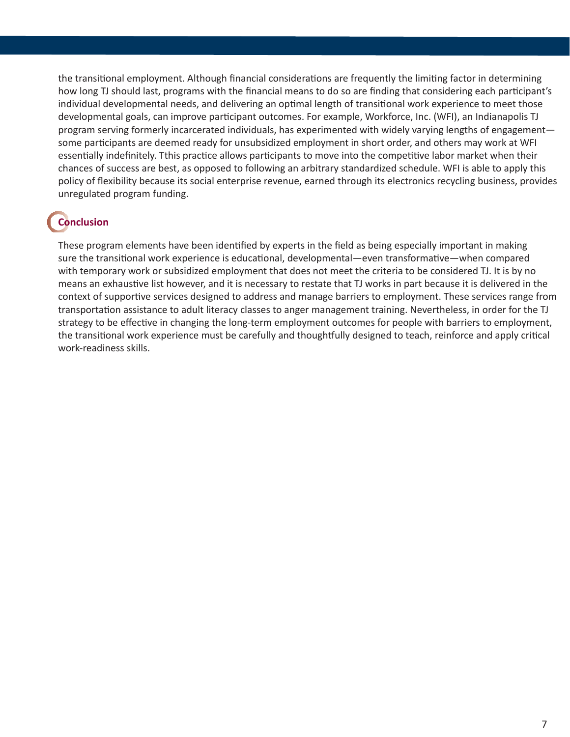the transitional employment. Although financial considerations are frequently the limiting factor in determining how long TJ should last, programs with the financial means to do so are finding that considering each participant's individual developmental needs, and delivering an optimal length of transitional work experience to meet those developmental goals, can improve participant outcomes. For example, Workforce, Inc. (WFI), an Indianapolis TJ program serving formerly incarcerated individuals, has experimented with widely varying lengths of engagement some participants are deemed ready for unsubsidized employment in short order, and others may work at WFI essentially indefinitely. Tthis practice allows participants to move into the competitive labor market when their chances of success are best, as opposed to following an arbitrary standardized schedule. WFI is able to apply this policy of flexibility because its social enterprise revenue, earned through its electronics recycling business, provides unregulated program funding.

# **Conclusion**

These program elements have been identified by experts in the field as being especially important in making sure the transitional work experience is educational, developmental—even transformative—when compared with temporary work or subsidized employment that does not meet the criteria to be considered TJ. It is by no means an exhaustive list however, and it is necessary to restate that TJ works in part because it is delivered in the context of supportive services designed to address and manage barriers to employment. These services range from transportation assistance to adult literacy classes to anger management training. Nevertheless, in order for the TJ strategy to be effective in changing the long-term employment outcomes for people with barriers to employment, the transitional work experience must be carefully and thoughtfully designed to teach, reinforce and apply critical work-readiness skills.